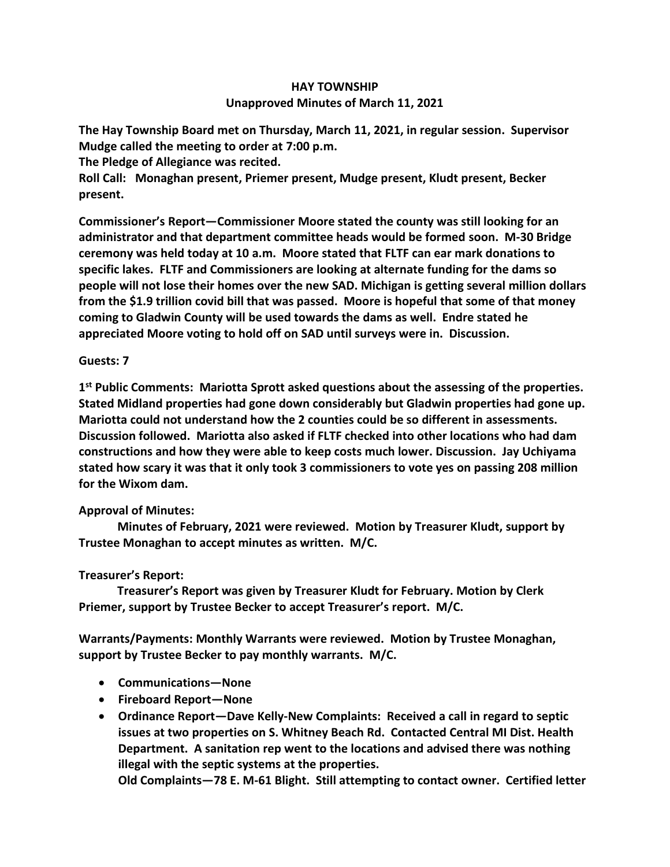## **HAY TOWNSHIP Unapproved Minutes of March 11, 2021**

**The Hay Township Board met on Thursday, March 11, 2021, in regular session. Supervisor Mudge called the meeting to order at 7:00 p.m.** 

**The Pledge of Allegiance was recited.** 

**Roll Call: Monaghan present, Priemer present, Mudge present, Kludt present, Becker present.**

**Commissioner's Report—Commissioner Moore stated the county was still looking for an administrator and that department committee heads would be formed soon. M-30 Bridge ceremony was held today at 10 a.m. Moore stated that FLTF can ear mark donations to specific lakes. FLTF and Commissioners are looking at alternate funding for the dams so people will not lose their homes over the new SAD. Michigan is getting several million dollars from the \$1.9 trillion covid bill that was passed. Moore is hopeful that some of that money coming to Gladwin County will be used towards the dams as well. Endre stated he appreciated Moore voting to hold off on SAD until surveys were in. Discussion.**

## **Guests: 7**

**1 st Public Comments: Mariotta Sprott asked questions about the assessing of the properties. Stated Midland properties had gone down considerably but Gladwin properties had gone up. Mariotta could not understand how the 2 counties could be so different in assessments. Discussion followed. Mariotta also asked if FLTF checked into other locations who had dam constructions and how they were able to keep costs much lower. Discussion. Jay Uchiyama stated how scary it was that it only took 3 commissioners to vote yes on passing 208 million for the Wixom dam.**

## **Approval of Minutes:**

 **Minutes of February, 2021 were reviewed. Motion by Treasurer Kludt, support by Trustee Monaghan to accept minutes as written. M/C.**

## **Treasurer's Report:**

 **Treasurer's Report was given by Treasurer Kludt for February. Motion by Clerk Priemer, support by Trustee Becker to accept Treasurer's report. M/C.**

**Warrants/Payments: Monthly Warrants were reviewed. Motion by Trustee Monaghan, support by Trustee Becker to pay monthly warrants. M/C.**

- **Communications—None**
- **Fireboard Report—None**
- **Ordinance Report—Dave Kelly-New Complaints: Received a call in regard to septic issues at two properties on S. Whitney Beach Rd. Contacted Central MI Dist. Health Department. A sanitation rep went to the locations and advised there was nothing illegal with the septic systems at the properties.**

**Old Complaints—78 E. M-61 Blight. Still attempting to contact owner. Certified letter**